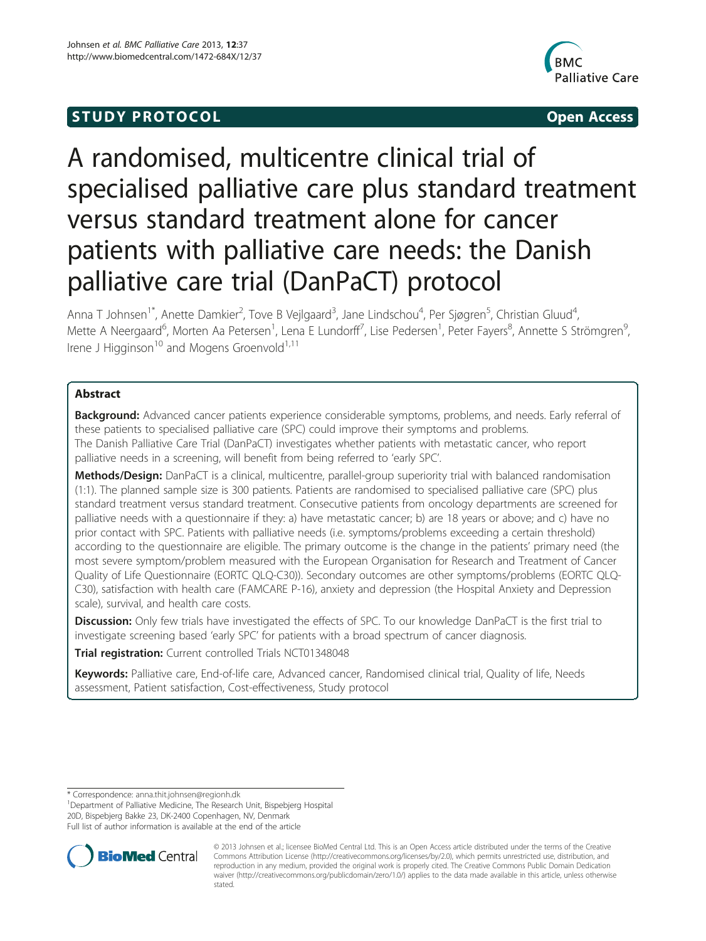# **STUDY PROTOCOL CONSUMING THE STUDY PROTOCOL**



# A randomised, multicentre clinical trial of specialised palliative care plus standard treatment versus standard treatment alone for cancer patients with palliative care needs: the Danish palliative care trial (DanPaCT) protocol

Anna T Johnsen<sup>1\*</sup>, Anette Damkier<sup>2</sup>, Tove B Vejlgaard<sup>3</sup>, Jane Lindschou<sup>4</sup>, Per Sjøgren<sup>5</sup>, Christian Gluud<sup>4</sup> , Mette A Neergaard<sup>6</sup>, Morten Aa Petersen<sup>1</sup>, Lena E Lundorff<sup>7</sup>, Lise Pedersen<sup>1</sup>, Peter Fayers<sup>8</sup>, Annette S Strömgren<sup>s</sup> , Irene J Higginson<sup>10</sup> and Mogens Groenvold<sup>1,11</sup>

# Abstract

**Background:** Advanced cancer patients experience considerable symptoms, problems, and needs. Early referral of these patients to specialised palliative care (SPC) could improve their symptoms and problems. The Danish Palliative Care Trial (DanPaCT) investigates whether patients with metastatic cancer, who report palliative needs in a screening, will benefit from being referred to 'early SPC'.

Methods/Design: DanPaCT is a clinical, multicentre, parallel-group superiority trial with balanced randomisation (1:1). The planned sample size is 300 patients. Patients are randomised to specialised palliative care (SPC) plus standard treatment versus standard treatment. Consecutive patients from oncology departments are screened for palliative needs with a questionnaire if they: a) have metastatic cancer; b) are 18 years or above; and c) have no prior contact with SPC. Patients with palliative needs (i.e. symptoms/problems exceeding a certain threshold) according to the questionnaire are eligible. The primary outcome is the change in the patients' primary need (the most severe symptom/problem measured with the European Organisation for Research and Treatment of Cancer Quality of Life Questionnaire (EORTC QLQ-C30)). Secondary outcomes are other symptoms/problems (EORTC QLQ-C30), satisfaction with health care (FAMCARE P-16), anxiety and depression (the Hospital Anxiety and Depression scale), survival, and health care costs.

Discussion: Only few trials have investigated the effects of SPC. To our knowledge DanPaCT is the first trial to investigate screening based 'early SPC' for patients with a broad spectrum of cancer diagnosis.

Trial registration: Current controlled Trials [NCT01348048](http://www.clinicaltrials.gov/ct2/show/NCT01348048?term=DanPaCT&rank=1)

Keywords: Palliative care, End-of-life care, Advanced cancer, Randomised clinical trial, Quality of life, Needs assessment, Patient satisfaction, Cost-effectiveness, Study protocol

\* Correspondence: [anna.thit.johnsen@regionh.dk](mailto:anna.thit.johnsen@regionh.dk) <sup>1</sup>

<sup>1</sup>Department of Palliative Medicine, The Research Unit, Bispebjerg Hospital 20D, Bispebjerg Bakke 23, DK-2400 Copenhagen, NV, Denmark Full list of author information is available at the end of the article



© 2013 Johnsen et al.; licensee BioMed Central Ltd. This is an Open Access article distributed under the terms of the Creative Commons Attribution License [\(http://creativecommons.org/licenses/by/2.0\)](http://creativecommons.org/licenses/by/2.0), which permits unrestricted use, distribution, and reproduction in any medium, provided the original work is properly cited. The Creative Commons Public Domain Dedication waiver [\(http://creativecommons.org/publicdomain/zero/1.0/\)](http://creativecommons.org/publicdomain/zero/1.0/) applies to the data made available in this article, unless otherwise stated.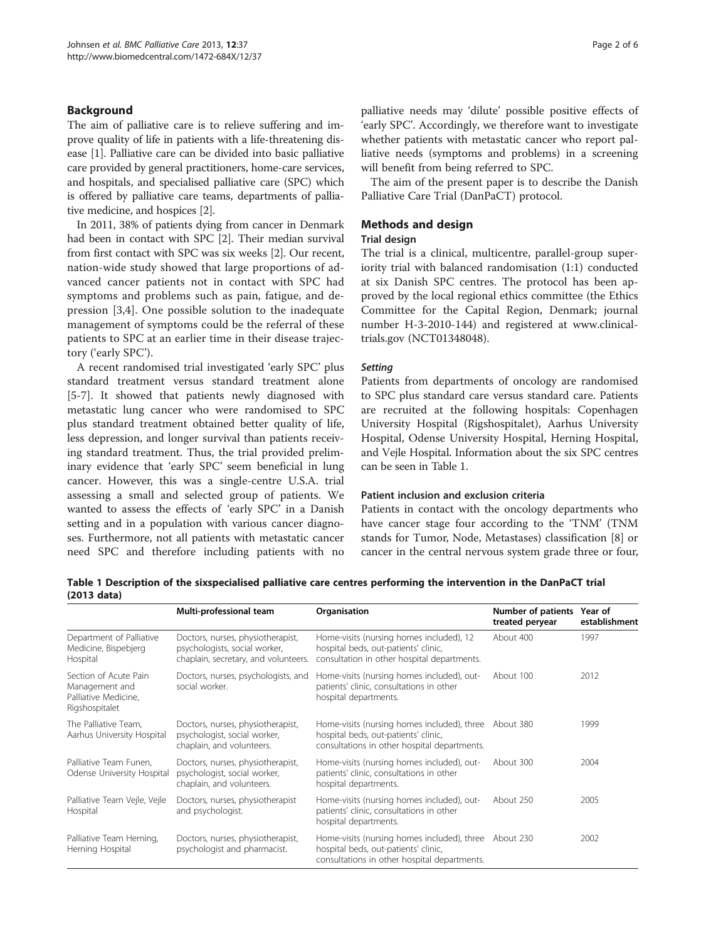# Background

The aim of palliative care is to relieve suffering and improve quality of life in patients with a life-threatening disease [[1](#page-5-0)]. Palliative care can be divided into basic palliative care provided by general practitioners, home-care services, and hospitals, and specialised palliative care (SPC) which is offered by palliative care teams, departments of palliative medicine, and hospices [\[2](#page-5-0)].

In 2011, 38% of patients dying from cancer in Denmark had been in contact with SPC [\[2](#page-5-0)]. Their median survival from first contact with SPC was six weeks [\[2](#page-5-0)]. Our recent, nation-wide study showed that large proportions of advanced cancer patients not in contact with SPC had symptoms and problems such as pain, fatigue, and depression [\[3](#page-5-0),[4\]](#page-5-0). One possible solution to the inadequate management of symptoms could be the referral of these patients to SPC at an earlier time in their disease trajectory ('early SPC').

A recent randomised trial investigated 'early SPC' plus standard treatment versus standard treatment alone [[5-7](#page-5-0)]. It showed that patients newly diagnosed with metastatic lung cancer who were randomised to SPC plus standard treatment obtained better quality of life, less depression, and longer survival than patients receiving standard treatment. Thus, the trial provided preliminary evidence that 'early SPC' seem beneficial in lung cancer. However, this was a single-centre U.S.A. trial assessing a small and selected group of patients. We wanted to assess the effects of 'early SPC' in a Danish setting and in a population with various cancer diagnoses. Furthermore, not all patients with metastatic cancer need SPC and therefore including patients with no

palliative needs may 'dilute' possible positive effects of 'early SPC'. Accordingly, we therefore want to investigate whether patients with metastatic cancer who report palliative needs (symptoms and problems) in a screening will benefit from being referred to SPC.

The aim of the present paper is to describe the Danish Palliative Care Trial (DanPaCT) protocol.

# Methods and design

# Trial design

The trial is a clinical, multicentre, parallel-group superiority trial with balanced randomisation (1:1) conducted at six Danish SPC centres. The protocol has been approved by the local regional ethics committee (the Ethics Committee for the Capital Region, Denmark; journal number H-3-2010-144) and registered at www.clinicaltrials.gov (NCT01348048).

# Setting

Patients from departments of oncology are randomised to SPC plus standard care versus standard care. Patients are recruited at the following hospitals: Copenhagen University Hospital (Rigshospitalet), Aarhus University Hospital, Odense University Hospital, Herning Hospital, and Vejle Hospital. Information about the six SPC centres can be seen in Table 1.

# Patient inclusion and exclusion criteria

Patients in contact with the oncology departments who have cancer stage four according to the 'TNM' (TNM stands for Tumor, Node, Metastases) classification [[8](#page-5-0)] or cancer in the central nervous system grade three or four,

Table 1 Description of the sixspecialised palliative care centres performing the intervention in the DanPaCT trial (2013 data)

|                                                                                   | Multi-professional team                                                                                    | Organisation                                                                                                                        | Number of patients<br>treated peryear | Year of<br>establishment |
|-----------------------------------------------------------------------------------|------------------------------------------------------------------------------------------------------------|-------------------------------------------------------------------------------------------------------------------------------------|---------------------------------------|--------------------------|
| Department of Palliative<br>Medicine, Bispebjerg<br>Hospital                      | Doctors, nurses, physiotherapist,<br>psychologists, social worker,<br>chaplain, secretary, and volunteers. | Home-visits (nursing homes included), 12<br>hospital beds, out-patients' clinic,<br>consultation in other hospital departments.     | About 400                             | 1997                     |
| Section of Acute Pain<br>Management and<br>Palliative Medicine,<br>Rigshospitalet | Doctors, nurses, psychologists, and<br>social worker.                                                      | Home-visits (nursing homes included), out-<br>patients' clinic, consultations in other<br>hospital departments.                     | About 100                             | 2012                     |
| The Palliative Team.<br>Aarhus University Hospital                                | Doctors, nurses, physiotherapist,<br>psychologist, social worker,<br>chaplain, and volunteers.             | Home-visits (nursing homes included), three<br>hospital beds, out-patients' clinic,<br>consultations in other hospital departments. | About 380                             | 1999                     |
| Palliative Team Funen.<br>Odense University Hospital                              | Doctors, nurses, physiotherapist,<br>psychologist, social worker,<br>chaplain, and volunteers.             | Home-visits (nursing homes included), out-<br>patients' clinic, consultations in other<br>hospital departments.                     | About 300                             | 2004                     |
| Palliative Team Vejle, Vejle<br>Hospital                                          | Doctors, nurses, physiotherapist<br>and psychologist.                                                      | Home-visits (nursing homes included), out-<br>patients' clinic, consultations in other<br>hospital departments.                     | About 250                             | 2005                     |
| Palliative Team Herning,<br>Herning Hospital                                      | Doctors, nurses, physiotherapist,<br>psychologist and pharmacist.                                          | Home-visits (nursing homes included), three<br>hospital beds, out-patients' clinic,<br>consultations in other hospital departments. | About 230                             | 2002                     |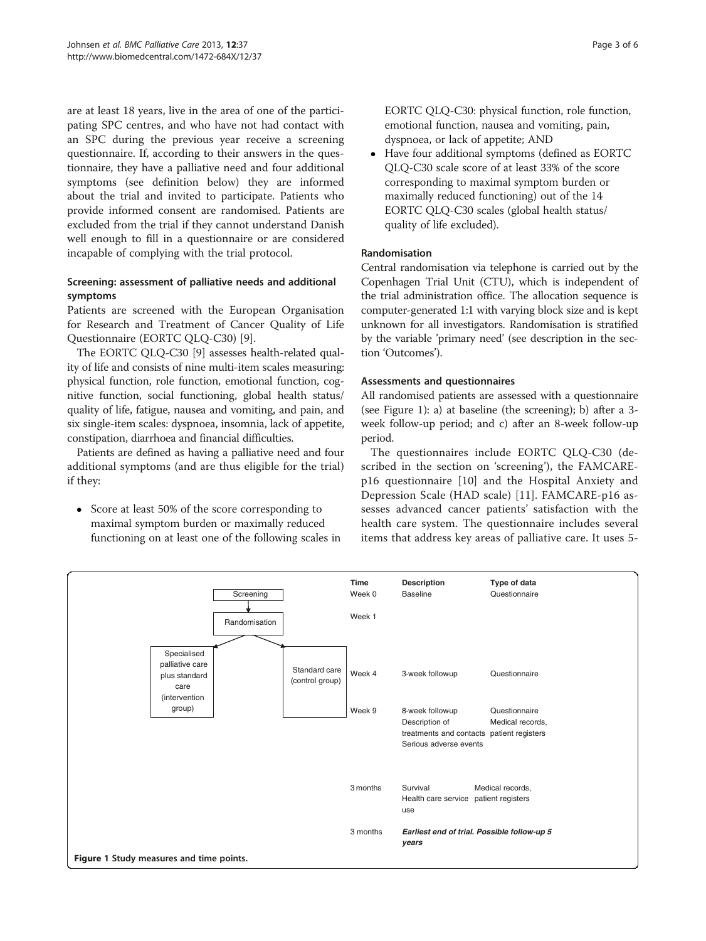are at least 18 years, live in the area of one of the participating SPC centres, and who have not had contact with an SPC during the previous year receive a screening questionnaire. If, according to their answers in the questionnaire, they have a palliative need and four additional symptoms (see definition below) they are informed about the trial and invited to participate. Patients who provide informed consent are randomised. Patients are excluded from the trial if they cannot understand Danish well enough to fill in a questionnaire or are considered incapable of complying with the trial protocol.

# Screening: assessment of palliative needs and additional symptoms

Patients are screened with the European Organisation for Research and Treatment of Cancer Quality of Life Questionnaire (EORTC QLQ-C30) [[9\]](#page-5-0).

The EORTC QLQ-C30 [\[9](#page-5-0)] assesses health-related quality of life and consists of nine multi-item scales measuring: physical function, role function, emotional function, cognitive function, social functioning, global health status/ quality of life, fatigue, nausea and vomiting, and pain, and six single-item scales: dyspnoea, insomnia, lack of appetite, constipation, diarrhoea and financial difficulties.

Patients are defined as having a palliative need and four additional symptoms (and are thus eligible for the trial) if they:

• Score at least 50% of the score corresponding to maximal symptom burden or maximally reduced functioning on at least one of the following scales in EORTC QLQ-C30: physical function, role function, emotional function, nausea and vomiting, pain, dyspnoea, or lack of appetite; AND

 Have four additional symptoms (defined as EORTC QLQ-C30 scale score of at least 33% of the score corresponding to maximal symptom burden or maximally reduced functioning) out of the 14 EORTC QLQ-C30 scales (global health status/ quality of life excluded).

# Randomisation

Central randomisation via telephone is carried out by the Copenhagen Trial Unit (CTU), which is independent of the trial administration office. The allocation sequence is computer-generated 1:1 with varying block size and is kept unknown for all investigators. Randomisation is stratified by the variable 'primary need' (see description in the section '[Outcomes](#page-3-0)').

# Assessments and questionnaires

All randomised patients are assessed with a questionnaire (see Figure 1): a) at baseline (the screening); b) after a 3 week follow-up period; and c) after an 8-week follow-up period.

The questionnaires include EORTC QLQ-C30 (described in the section on 'screening'), the FAMCAREp16 questionnaire [[10\]](#page-5-0) and the Hospital Anxiety and Depression Scale (HAD scale) [\[11](#page-5-0)]. FAMCARE-p16 assesses advanced cancer patients' satisfaction with the health care system. The questionnaire includes several items that address key areas of palliative care. It uses 5-

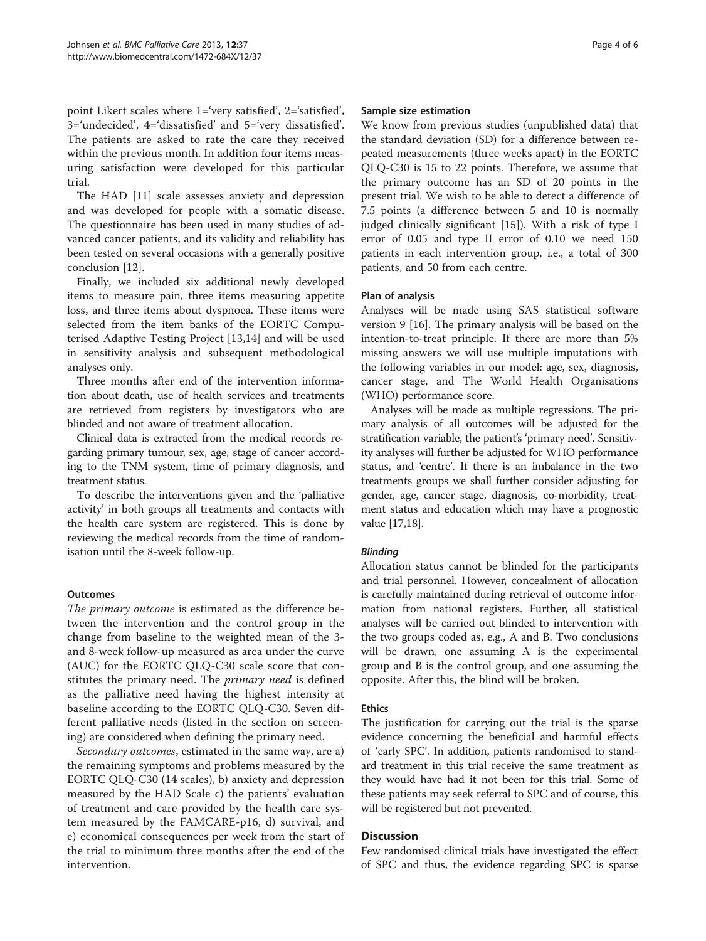<span id="page-3-0"></span>point Likert scales where 1='very satisfied', 2='satisfied', 3='undecided', 4='dissatisfied' and 5='very dissatisfied'. The patients are asked to rate the care they received within the previous month. In addition four items measuring satisfaction were developed for this particular trial.

The HAD [\[11\]](#page-5-0) scale assesses anxiety and depression and was developed for people with a somatic disease. The questionnaire has been used in many studies of advanced cancer patients, and its validity and reliability has been tested on several occasions with a generally positive conclusion [[12\]](#page-5-0).

Finally, we included six additional newly developed items to measure pain, three items measuring appetite loss, and three items about dyspnoea. These items were selected from the item banks of the EORTC Computerised Adaptive Testing Project [\[13,14\]](#page-5-0) and will be used in sensitivity analysis and subsequent methodological analyses only.

Three months after end of the intervention information about death, use of health services and treatments are retrieved from registers by investigators who are blinded and not aware of treatment allocation.

Clinical data is extracted from the medical records regarding primary tumour, sex, age, stage of cancer according to the TNM system, time of primary diagnosis, and treatment status.

To describe the interventions given and the 'palliative activity' in both groups all treatments and contacts with the health care system are registered. This is done by reviewing the medical records from the time of randomisation until the 8-week follow-up.

# **Outcomes**

The primary outcome is estimated as the difference between the intervention and the control group in the change from baseline to the weighted mean of the 3 and 8-week follow-up measured as area under the curve (AUC) for the EORTC QLQ-C30 scale score that constitutes the primary need. The *primary need* is defined as the palliative need having the highest intensity at baseline according to the EORTC QLQ-C30. Seven different palliative needs (listed in the section on screening) are considered when defining the primary need.

Secondary outcomes, estimated in the same way, are a) the remaining symptoms and problems measured by the EORTC QLQ-C30 (14 scales), b) anxiety and depression measured by the HAD Scale c) the patients' evaluation of treatment and care provided by the health care system measured by the FAMCARE-p16, d) survival, and e) economical consequences per week from the start of the trial to minimum three months after the end of the intervention.

#### Sample size estimation

We know from previous studies (unpublished data) that the standard deviation (SD) for a difference between repeated measurements (three weeks apart) in the EORTC QLQ-C30 is 15 to 22 points. Therefore, we assume that the primary outcome has an SD of 20 points in the present trial. We wish to be able to detect a difference of 7.5 points (a difference between 5 and 10 is normally judged clinically significant [[15\]](#page-5-0)). With a risk of type I error of 0.05 and type II error of 0.10 we need 150 patients in each intervention group, i.e., a total of 300 patients, and 50 from each centre.

## Plan of analysis

Analyses will be made using SAS statistical software version 9 [\[16](#page-5-0)]. The primary analysis will be based on the intention-to-treat principle. If there are more than 5% missing answers we will use multiple imputations with the following variables in our model: age, sex, diagnosis, cancer stage, and The World Health Organisations (WHO) performance score.

Analyses will be made as multiple regressions. The primary analysis of all outcomes will be adjusted for the stratification variable, the patient's 'primary need'. Sensitivity analyses will further be adjusted for WHO performance status, and 'centre'. If there is an imbalance in the two treatments groups we shall further consider adjusting for gender, age, cancer stage, diagnosis, co-morbidity, treatment status and education which may have a prognostic value [\[17,18](#page-5-0)].

#### Blinding

Allocation status cannot be blinded for the participants and trial personnel. However, concealment of allocation is carefully maintained during retrieval of outcome information from national registers. Further, all statistical analyses will be carried out blinded to intervention with the two groups coded as, e.g., A and B. Two conclusions will be drawn, one assuming A is the experimental group and B is the control group, and one assuming the opposite. After this, the blind will be broken.

#### Ethics

The justification for carrying out the trial is the sparse evidence concerning the beneficial and harmful effects of 'early SPC'. In addition, patients randomised to standard treatment in this trial receive the same treatment as they would have had it not been for this trial. Some of these patients may seek referral to SPC and of course, this will be registered but not prevented.

#### Discussion

Few randomised clinical trials have investigated the effect of SPC and thus, the evidence regarding SPC is sparse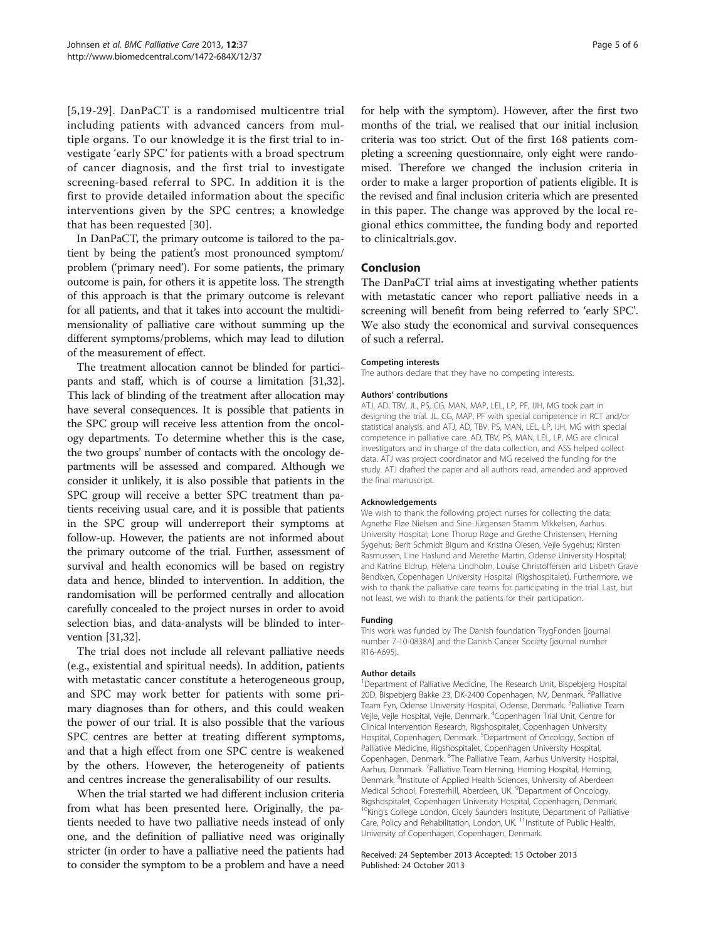[[5,19-29\]](#page-5-0). DanPaCT is a randomised multicentre trial including patients with advanced cancers from multiple organs. To our knowledge it is the first trial to investigate 'early SPC' for patients with a broad spectrum of cancer diagnosis, and the first trial to investigate screening-based referral to SPC. In addition it is the first to provide detailed information about the specific interventions given by the SPC centres; a knowledge that has been requested [[30](#page-5-0)].

In DanPaCT, the primary outcome is tailored to the patient by being the patient's most pronounced symptom/ problem ('primary need'). For some patients, the primary outcome is pain, for others it is appetite loss. The strength of this approach is that the primary outcome is relevant for all patients, and that it takes into account the multidimensionality of palliative care without summing up the different symptoms/problems, which may lead to dilution of the measurement of effect.

The treatment allocation cannot be blinded for participants and staff, which is of course a limitation [\[31,32](#page-5-0)]. This lack of blinding of the treatment after allocation may have several consequences. It is possible that patients in the SPC group will receive less attention from the oncology departments. To determine whether this is the case, the two groups' number of contacts with the oncology departments will be assessed and compared. Although we consider it unlikely, it is also possible that patients in the SPC group will receive a better SPC treatment than patients receiving usual care, and it is possible that patients in the SPC group will underreport their symptoms at follow-up. However, the patients are not informed about the primary outcome of the trial. Further, assessment of survival and health economics will be based on registry data and hence, blinded to intervention. In addition, the randomisation will be performed centrally and allocation carefully concealed to the project nurses in order to avoid selection bias, and data-analysts will be blinded to intervention [\[31,32\]](#page-5-0).

The trial does not include all relevant palliative needs (e.g., existential and spiritual needs). In addition, patients with metastatic cancer constitute a heterogeneous group, and SPC may work better for patients with some primary diagnoses than for others, and this could weaken the power of our trial. It is also possible that the various SPC centres are better at treating different symptoms, and that a high effect from one SPC centre is weakened by the others. However, the heterogeneity of patients and centres increase the generalisability of our results.

When the trial started we had different inclusion criteria from what has been presented here. Originally, the patients needed to have two palliative needs instead of only one, and the definition of palliative need was originally stricter (in order to have a palliative need the patients had to consider the symptom to be a problem and have a need for help with the symptom). However, after the first two months of the trial, we realised that our initial inclusion criteria was too strict. Out of the first 168 patients completing a screening questionnaire, only eight were randomised. Therefore we changed the inclusion criteria in order to make a larger proportion of patients eligible. It is the revised and final inclusion criteria which are presented in this paper. The change was approved by the local regional ethics committee, the funding body and reported to clinicaltrials.gov.

## Conclusion

The DanPaCT trial aims at investigating whether patients with metastatic cancer who report palliative needs in a screening will benefit from being referred to 'early SPC'. We also study the economical and survival consequences of such a referral.

#### Competing interests

The authors declare that they have no competing interests.

#### Authors' contributions

ATJ, AD, TBV, JL, PS, CG, MAN, MAP, LEL, LP, PF, IJH, MG took part in designing the trial. JL, CG, MAP, PF with special competence in RCT and/or statistical analysis, and ATJ, AD, TBV, PS, MAN, LEL, LP, IJH, MG with special competence in palliative care. AD, TBV, PS, MAN, LEL, LP, MG are clinical investigators and in charge of the data collection, and ASS helped collect data. ATJ was project coordinator and MG received the funding for the study. ATJ drafted the paper and all authors read, amended and approved the final manuscript.

#### Acknowledgements

We wish to thank the following project nurses for collecting the data: Agnethe Fløe Nielsen and Sine Jürgensen Stamm Mikkelsen, Aarhus University Hospital; Lone Thorup Røge and Grethe Christensen, Herning Sygehus; Berit Schmidt Bigum and Kristina Olesen, Vejle Sygehus; Kirsten Rasmussen, Line Haslund and Merethe Martin, Odense University Hospital; and Katrine Eldrup, Helena Lindholm, Louise Christoffersen and Lisbeth Grave Bendixen, Copenhagen University Hospital (Rigshospitalet). Furthermore, we wish to thank the palliative care teams for participating in the trial. Last, but not least, we wish to thank the patients for their participation.

#### Funding

This work was funded by The Danish foundation TrygFonden [journal number 7-10-0838A] and the Danish Cancer Society [journal number R16-A695].

#### Author details

<sup>1</sup>Department of Palliative Medicine, The Research Unit, Bispebjerg Hospital 20D, Bispebjerg Bakke 23, DK-2400 Copenhagen, NV, Denmark. <sup>2</sup>Palliative Team Fyn, Odense University Hospital, Odense, Denmark. <sup>3</sup>Palliative Team Vejle, Vejle Hospital, Vejle, Denmark. <sup>4</sup>Copenhagen Trial Unit, Centre for Clinical Intervention Research, Rigshospitalet, Copenhagen University Hospital, Copenhagen, Denmark.<sup>5</sup> Department of Oncology, Section of Palliative Medicine, Rigshospitalet, Copenhagen University Hospital, Copenhagen, Denmark. <sup>6</sup>The Palliative Team, Aarhus University Hospital, Aarhus, Denmark. <sup>7</sup>Palliative Team Herning, Herning Hospital, Herning, Denmark. <sup>8</sup>Institute of Applied Health Sciences, University of Aberdeen Medical School, Foresterhill, Aberdeen, UK. <sup>9</sup>Department of Oncology, Rigshospitalet, Copenhagen University Hospital, Copenhagen, Denmark. <sup>10</sup>King's College London, Cicely Saunders Institute, Department of Palliative Care, Policy and Rehabilitation, London, UK.<sup>11</sup>Institute of Public Health, University of Copenhagen, Copenhagen, Denmark.

#### Received: 24 September 2013 Accepted: 15 October 2013 Published: 24 October 2013